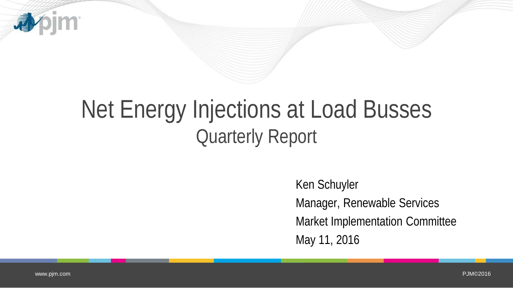

## Net Energy Injections at Load Busses Quarterly Report

Ken Schuyler Manager, Renewable Services Market Implementation Committee May 11, 2016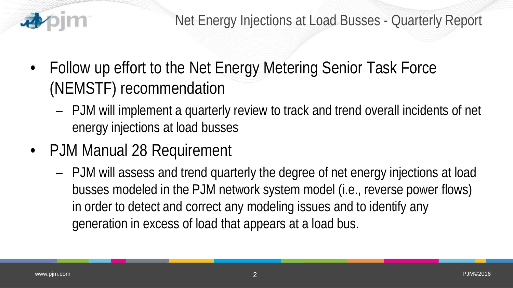

- Follow up effort to the Net Energy Metering Senior Task Force (NEMSTF) recommendation
	- PJM will implement a quarterly review to track and trend overall incidents of net energy injections at load busses
- PJM Manual 28 Requirement
	- PJM will assess and trend quarterly the degree of net energy injections at load busses modeled in the PJM network system model (i.e., reverse power flows) in order to detect and correct any modeling issues and to identify any generation in excess of load that appears at a load bus.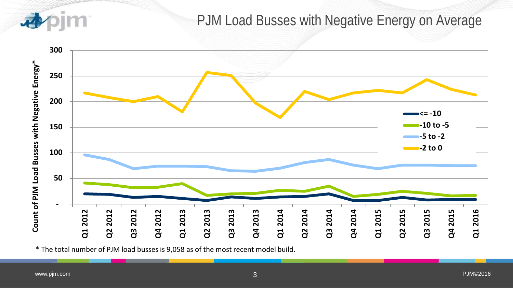

## PJM Load Busses with Negative Energy on Average



\* The total number of PJM load busses is 9,058 as of the most recent model build.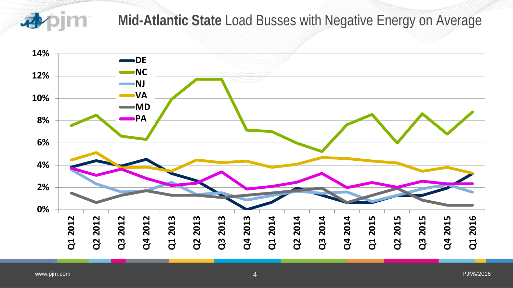

## **Mid-Atlantic State** Load Busses with Negative Energy on Average

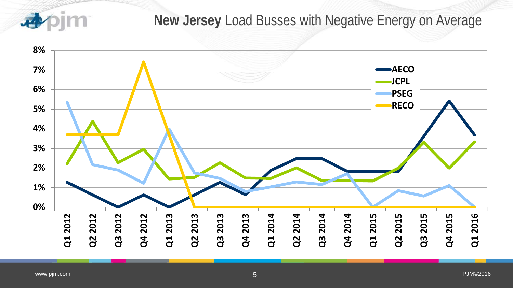香

## **New Jersey** Load Busses with Negative Energy on Average